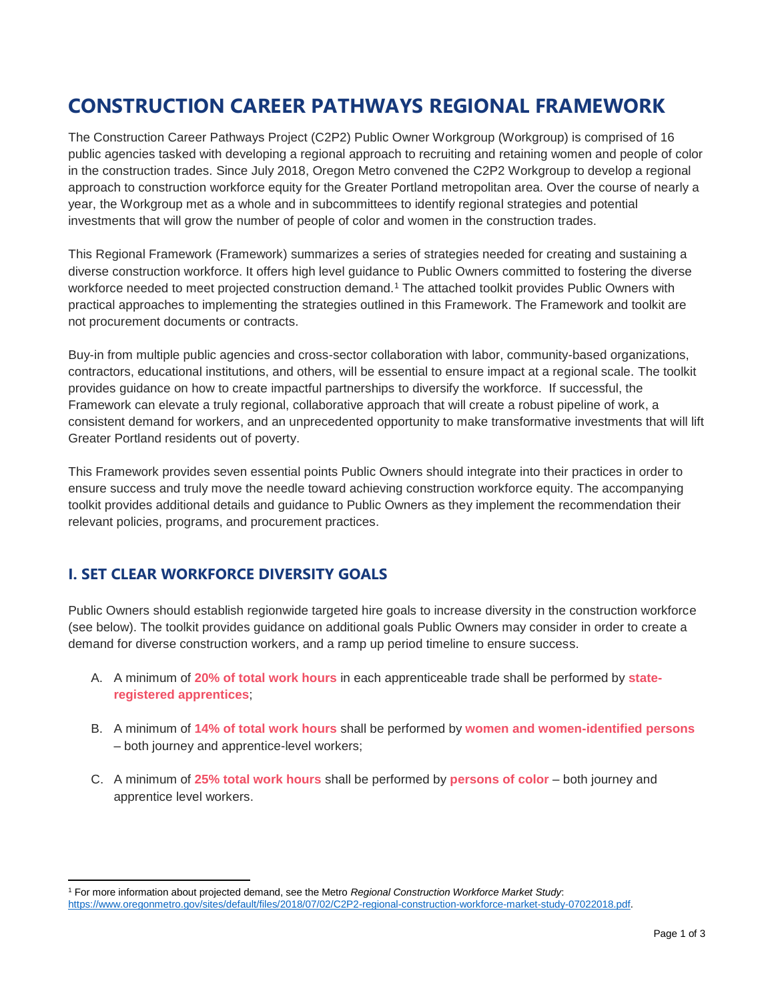# **CONSTRUCTION CAREER PATHWAYS REGIONAL FRAMEWORK**

The Construction Career Pathways Project (C2P2) Public Owner Workgroup (Workgroup) is comprised of 16 public agencies tasked with developing a regional approach to recruiting and retaining women and people of color in the construction trades. Since July 2018, Oregon Metro convened the C2P2 Workgroup to develop a regional approach to construction workforce equity for the Greater Portland metropolitan area. Over the course of nearly a year, the Workgroup met as a whole and in subcommittees to identify regional strategies and potential investments that will grow the number of people of color and women in the construction trades.

This Regional Framework (Framework) summarizes a series of strategies needed for creating and sustaining a diverse construction workforce. It offers high level guidance to Public Owners committed to fostering the diverse workforce needed to meet projected construction demand.<sup>1</sup> The attached toolkit provides Public Owners with practical approaches to implementing the strategies outlined in this Framework. The Framework and toolkit are not procurement documents or contracts.

Buy-in from multiple public agencies and cross-sector collaboration with labor, community-based organizations, contractors, educational institutions, and others, will be essential to ensure impact at a regional scale. The toolkit provides guidance on how to create impactful partnerships to diversify the workforce. If successful, the Framework can elevate a truly regional, collaborative approach that will create a robust pipeline of work, a consistent demand for workers, and an unprecedented opportunity to make transformative investments that will lift Greater Portland residents out of poverty.

This Framework provides seven essential points Public Owners should integrate into their practices in order to ensure success and truly move the needle toward achieving construction workforce equity. The accompanying toolkit provides additional details and guidance to Public Owners as they implement the recommendation their relevant policies, programs, and procurement practices.

# **I. SET CLEAR WORKFORCE DIVERSITY GOALS**

l

Public Owners should establish regionwide targeted hire goals to increase diversity in the construction workforce (see below). The toolkit provides guidance on additional goals Public Owners may consider in order to create a demand for diverse construction workers, and a ramp up period timeline to ensure success.

- A. A minimum of **20% of total work hours** in each apprenticeable trade shall be performed by **stateregistered apprentices**;
- B. A minimum of **14% of total work hours** shall be performed by **women and women-identified persons** – both journey and apprentice-level workers;
- C. A minimum of **25% total work hours** shall be performed by **persons of color** both journey and apprentice level workers.

<sup>1</sup> For more information about projected demand, see the Metro *Regional Construction Workforce Market Study*: [https://www.oregonmetro.gov/sites/default/files/2018/07/02/C2P2-regional-construction-workforce-market-study-07022018.pdf.](https://www.oregonmetro.gov/sites/default/files/2018/07/02/C2P2-regional-construction-workforce-market-study-07022018.pdf)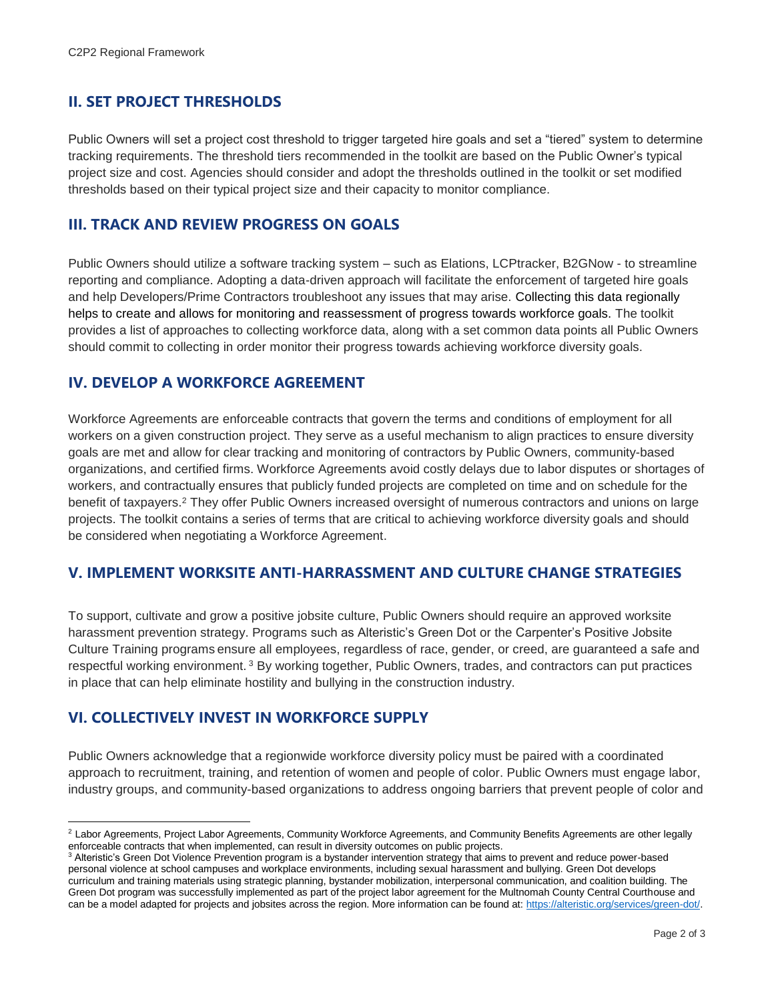## **II. SET PROJECT THRESHOLDS**

Public Owners will set a project cost threshold to trigger targeted hire goals and set a "tiered" system to determine tracking requirements. The threshold tiers recommended in the toolkit are based on the Public Owner's typical project size and cost. Agencies should consider and adopt the thresholds outlined in the toolkit or set modified thresholds based on their typical project size and their capacity to monitor compliance.

#### **III. TRACK AND REVIEW PROGRESS ON GOALS**

Public Owners should utilize a software tracking system – such as Elations, LCPtracker, B2GNow - to streamline reporting and compliance. Adopting a data-driven approach will facilitate the enforcement of targeted hire goals and help Developers/Prime Contractors troubleshoot any issues that may arise. Collecting this data regionally helps to create and allows for monitoring and reassessment of progress towards workforce goals. The toolkit provides a list of approaches to collecting workforce data, along with a set common data points all Public Owners should commit to collecting in order monitor their progress towards achieving workforce diversity goals.

#### **IV. DEVELOP A WORKFORCE AGREEMENT**

Workforce Agreements are enforceable contracts that govern the terms and conditions of employment for all workers on a given construction project. They serve as a useful mechanism to align practices to ensure diversity goals are met and allow for clear tracking and monitoring of contractors by Public Owners, community-based organizations, and certified firms. Workforce Agreements avoid costly delays due to labor disputes or shortages of workers, and contractually ensures that publicly funded projects are completed on time and on schedule for the benefit of taxpayers.<sup>2</sup> They offer Public Owners increased oversight of numerous contractors and unions on large projects. The toolkit contains a series of terms that are critical to achieving workforce diversity goals and should be considered when negotiating a Workforce Agreement.

#### **V. IMPLEMENT WORKSITE ANTI-HARRASSMENT AND CULTURE CHANGE STRATEGIES**

To support, cultivate and grow a positive jobsite culture, Public Owners should require an approved worksite harassment prevention strategy. Programs such as Alteristic's Green Dot or the Carpenter's Positive Jobsite Culture Training programs ensure all employees, regardless of race, gender, or creed, are guaranteed a safe and respectful working environment. <sup>3</sup> By working together, Public Owners, trades, and contractors can put practices in place that can help eliminate hostility and bullying in the construction industry.

#### **VI. COLLECTIVELY INVEST IN WORKFORCE SUPPLY**

 $\overline{\phantom{a}}$ 

Public Owners acknowledge that a regionwide workforce diversity policy must be paired with a coordinated approach to recruitment, training, and retention of women and people of color. Public Owners must engage labor, industry groups, and community-based organizations to address ongoing barriers that prevent people of color and

<sup>&</sup>lt;sup>2</sup> Labor Agreements, Project Labor Agreements, Community Workforce Agreements, and Community Benefits Agreements are other legally enforceable contracts that when implemented, can result in diversity outcomes on public projects.

<sup>&</sup>lt;sup>3</sup> Alteristic's Green Dot Violence Prevention program is a bystander intervention strategy that aims to prevent and reduce power-based personal violence at school campuses and workplace environments, including sexual harassment and bullying. Green Dot develops curriculum and training materials using strategic planning, bystander mobilization, interpersonal communication, and coalition building. The Green Dot program was successfully implemented as part of the project labor agreement for the Multnomah County Central Courthouse and can be a model adapted for projects and jobsites across the region. More information can be found at[: https://alteristic.org/services/green-dot/.](https://alteristic.org/services/green-dot/)